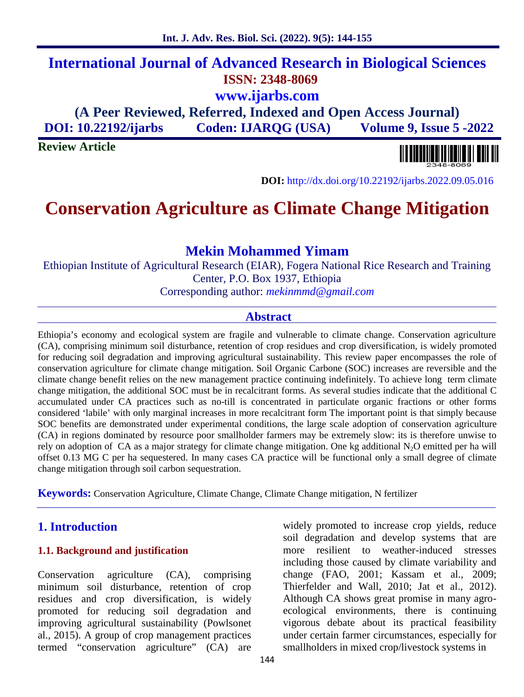# **International Journal of Advanced Research in Biological Sciences ISSN: 2348-8069 www.ijarbs.com**

**(A Peer Reviewed, Referred, Indexed and Open Access Journal) DOI: 10.22192/ijarbs Coden: IJARQG (USA) Volume 9, Issue 5 -2022**

**Review Article**



**DOI:** http://dx.doi.org/10.22192/ijarbs.2022.09.05.016

# **Conservation Agriculture as Climate Change Mitigation**

## **Mekin Mohammed Yimam**

Ethiopian Institute of Agricultural Research (EIAR), Fogera National Rice Research and Training Center, P.O. Box 1937, Ethiopia Corresponding author: *mekinmmd@gmail.com*

### **Abstract**

Ethiopia's economy and ecological system are fragile and vulnerable to climate change. Conservation agriculture (CA), comprising minimum soil disturbance, retention of crop residues and crop diversification, is widely promoted for reducing soil degradation and improving agricultural sustainability. This review paper encompasses the role of conservation agriculture for climate change mitigation. Soil Organic Carbone (SOC) increases are reversible and the climate change benefit relies on the new management practice continuing indefinitely. To achieve long term climate change mitigation, the additional SOC must be in recalcitrant forms. As several studies indicate that the additional C accumulated under CA practices such as no-till is concentrated in particulate organic fractions or other forms considered 'labile' with only marginal increases in more recalcitrant form The important point is that simply because SOC benefits are demonstrated under experimental conditions, the large scale adoption of conservation agriculture (CA) in regions dominated by resource poor smallholder farmers may be extremely slow: its is therefore unwise to rely on adoption of CA as a major strategy for climate change mitigation. One kg additional  $N_2O$  emitted per ha will offset 0.13 MG C per ha sequestered. In many cases CA practice will be functional only a small degree of climate change mitigation through soil carbon sequestration.

**Keywords:** Conservation Agriculture, Climate Change, Climate Change mitigation, N fertilizer

### **1. Introduction**

#### **1.1. Background and justification**

Conservation agriculture (CA), comprising minimum soil disturbance, retention of crop residues and crop diversification, is widely promoted for reducing soil degradation and improving agricultural sustainability (Powlsonet al., 2015). A group of crop management practices termed "conservation agriculture" (CA) are

widely promoted to increase crop yields, reduce soil degradation and develop systems that are more resilient to weather-induced stresses including those caused by climate variability and change (FAO, 2001; Kassam et al., 2009; Thierfelder and Wall, 2010; Jat et al., 2012). Although CA shows great promise in many agro ecological environments, there is continuing vigorous debate about its practical feasibility under certain farmer circumstances, especially for smallholders in mixed crop/livestock systems in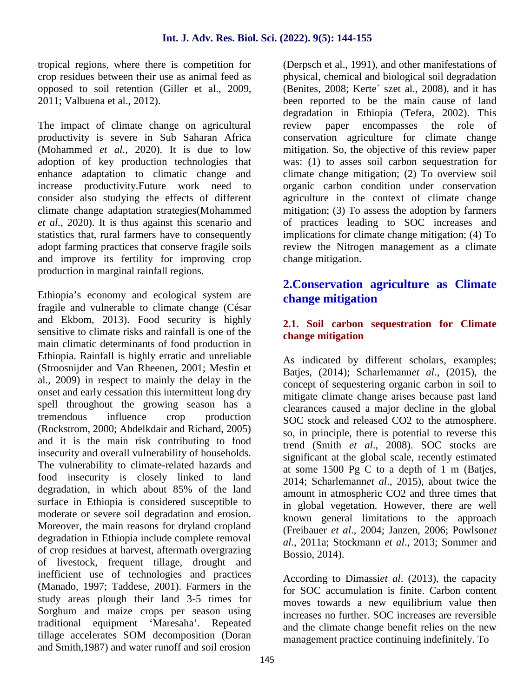tropical regions, where there is competition for crop residues between their use as animal feed as opposed to soil retention (Giller et al., 2009, 2011; Valbuena et al., 2012).

The impact of climate change on agricultural productivity is severe in Sub Saharan Africa (Mohammed *et al.,* 2020). It is due to low adoption of key production technologies that enhance adaptation to climatic change and increase productivity.Future work need to consider also studying the effects of different climate change adaptation strategies(Mohammed *et al.,* 2020). It is thus against this scenario and statistics that, rural farmers have to consequently adopt farming practices that conserve fragile soils and improve its fertility for improving crop production in marginal rainfall regions.

Ethiopia's economy and ecological system are fragile and vulnerable to climate change (César and Ekbom, 2013). Food security is highly sensitive to climate risks and rainfall is one of the main climatic determinants of food production in Ethiopia. Rainfall is highly erratic and unreliable (Stroosnijder and Van Rheenen, 2001; Mesfin et al., 2009) in respect to mainly the delay in the onset and early cessation this intermittent long dry spell throughout the growing season has a tremendous influence crop production (Rockstrom, 2000; Abdelkdair and Richard, 2005) and it is the main risk contributing to food insecurity and overall vulnerability of households. The vulnerability to climate-related hazards and food insecurity is closely linked to land degradation, in which about 85% of the land surface in Ethiopia is considered susceptible to moderate or severe soil degradation and erosion. Moreover, the main reasons for dryland cropland degradation in Ethiopia include complete removal of crop residues at harvest, aftermath overgrazing of livestock, frequent tillage, drought and inefficient use of technologies and practices (Manado, 1997; Taddese, 2001). Farmers in the study areas plough their land 3-5 times for Sorghum and maize crops per season using traditional equipment 'Maresaha'. Repeated tillage accelerates SOM decomposition (Doran and Smith,1987) and water runoff and soil erosion

(Derpsch et al., 1991), and other manifestations of physical, chemical and biological soil degradation (Benites, 2008; Kerte´ szet al., 2008), and it has been reported to be the main cause of land degradation in Ethiopia (Tefera, 2002). This review paper encompasses the role of conservation agriculture for climate change mitigation. So, the objective of this review paper was: (1) to asses soil carbon sequestration for climate change mitigation; (2) To overview soil organic carbon condition under conservation agriculture in the context of climate change mitigation; (3) To assess the adoption by farmers of practices leading to SOC increases and implications for climate change mitigation; (4) To review the Nitrogen management as a climate change mitigation.

## **2.Conservation agriculture as Climate change mitigation**

#### **2.1. Soil carbon sequestration for Climate change mitigation**

As indicated by different scholars, examples; Batjes, (2014); Scharlemann*et al*., (2015), the concept of sequestering organic carbon in soil to mitigate climate change arises because past land clearances caused a major decline in the global SOC stock and released CO2 to the atmosphere. so, in principle, there is potential to reverse this trend (Smith *et al*., 2008). SOC stocks are significant at the global scale, recently estimated at some 1500 Pg C to a depth of 1 m (Batjes, 2014; Scharlemann*et al*., 2015), about twice the amount in atmospheric CO2 and three times that in global vegetation. However, there are well known general limitations to the approach (Freibauer *et al*., 2004; Janzen, 2006; Powlson*et al*., 2011a; Stockmann *et al*., 2013; Sommer and Bossio, 2014).

According to Dimassi*et al*. (2013), the capacity for SOC accumulation is finite. Carbon content moves towards a new equilibrium value then increases no further. SOC increases are reversible and the climate change benefit relies on the new management practice continuing indefinitely. To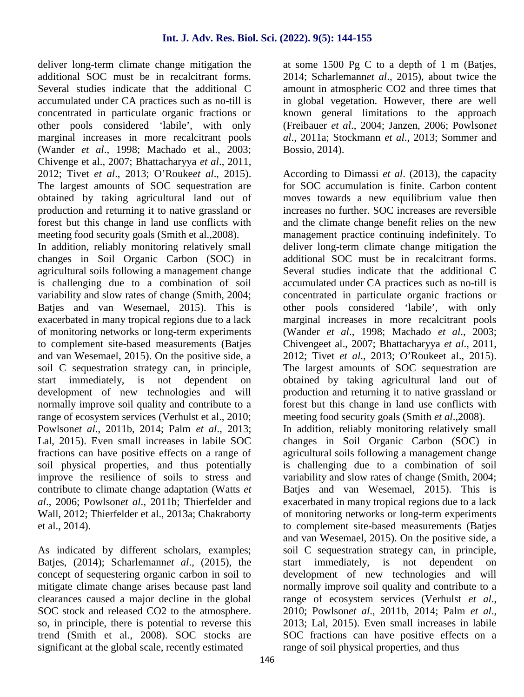deliver long-term climate change mitigation the additional SOC must be in recalcitrant forms. Several studies indicate that the additional C accumulated under CA practices such as no-till is concentrated in particulate organic fractions or other pools considered 'labile', with only marginal increases in more recalcitrant pools (Wander *et al*., 1998; Machado et al., 2003; Chivenge et al., 2007; Bhattacharyya *et al*., 2011, 2012; Tivet *et al*., 2013; O'Rouke*et al*., 2015). The largest amounts of SOC sequestration are obtained by taking agricultural land out of production and returning it to native grassland or forest but this change in land use conflicts with meeting food security goals (Smith et al.,2008).

In addition, reliably monitoring relatively small changes in Soil Organic Carbon (SOC) in agricultural soils following a management change is challenging due to a combination of soil variability and slow rates of change (Smith, 2004; Batjes and van Wesemael, 2015). This is exacerbated in many tropical regions due to a lack of monitoring networks or long-term experiments to complement site-based measurements (Batjes and van Wesemael, 2015). On the positive side, a soil C sequestration strategy can, in principle, start immediately, is not dependent on development of new technologies and will normally improve soil quality and contribute to a range of ecosystem services (Verhulst et al., 2010; Powlson*et al*., 2011b, 2014; Palm *et al*., 2013; Lal, 2015). Even small increases in labile SOC fractions can have positive effects on a range of soil physical properties, and thus potentially improve the resilience of soils to stress and contribute to climate change adaptation (Watts *et al*., 2006; Powlson*et al*., 2011b; Thierfelder and Wall, 2012; Thierfelder et al., 2013a; Chakraborty et al., 2014).

As indicated by different scholars, examples; Batjes, (2014); Scharlemannet al., (2015), the start concept of sequestering organic carbon in soil to mitigate climate change arises because past land clearances caused a major decline in the global SOC stock and released CO2 to the atmosphere. so, in principle, there is potential to reverse this trend (Smith et al., 2008). SOC stocks are significant at the global scale, recently estimated

at some 1500 Pg C to a depth of 1 m (Batjes, 2014; Scharlemann*et al*., 2015), about twice the amount in atmospheric CO2 and three times that in global vegetation. However, there are well known general limitations to the approach (Freibauer *et al*., 2004; Janzen, 2006; Powlson*et al*., 2011a; Stockmann *et al*., 2013; Sommer and Bossio, 2014).

According to Dimassi *et al*. (2013), the capacity for SOC accumulation is finite. Carbon content moves towards a new equilibrium value then increases no further. SOC increases are reversible and the climate change benefit relies on the new management practice continuing indefinitely. To deliver long-term climate change mitigation the additional SOC must be in recalcitrant forms. Several studies indicate that the additional C accumulated under CA practices such as no-till is concentrated in particulate organic fractions or other pools considered 'labile', with only marginal increases in more recalcitrant pools (Wander *et al*., 1998; Machado *et al*., 2003; Chivengeet al., 2007; Bhattacharyya *et al*., 2011, 2012; Tivet *et al*., 2013; O'Roukeet al., 2015). The largest amounts of SOC sequestration are obtained by taking agricultural land out of production and returning it to native grassland or forest but this change in land use conflicts with meeting food security goals (Smith *et al*.,2008). In addition, reliably monitoring relatively small changes in Soil Organic Carbon (SOC) in agricultural soils following a management change is challenging due to a combination of soil variability and slow rates of change (Smith, 2004; Batjes and van Wesemael, 2015). This is exacerbated in many tropical regions due to a lack of monitoring networks or long-term experiments to complement site-based measurements (Batjes and van Wesemael, 2015). On the positive side, a soil C sequestration strategy can, in principle, immediately, is not dependent on development of new technologies and will normally improve soil quality and contribute to a range of ecosystem services (Verhulst *et al*., 2010; Powlson*et al*., 2011b, 2014; Palm *et al*., 2013; Lal, 2015). Even small increases in labile SOC fractions can have positive effects on a range of soil physical properties, and thus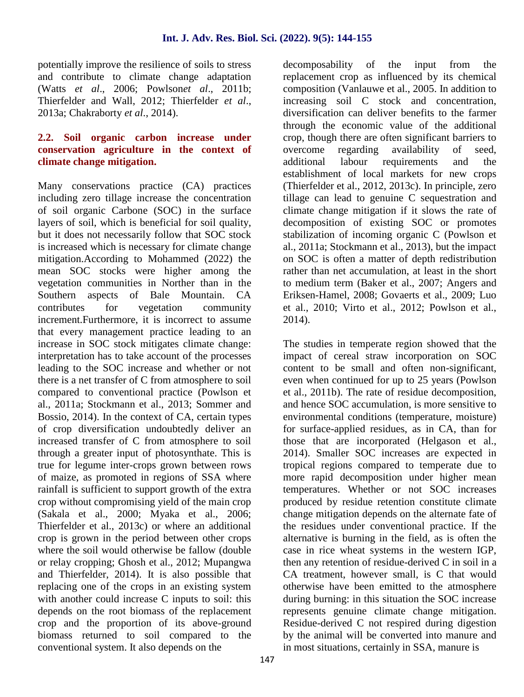potentially improve the resilience of soils to stress and contribute to climate change adaptation (Watts *et al*., 2006; Powlson*et al*., 2011b; Thierfelder and Wall, 2012; Thierfelder *et al*., 2013a; Chakraborty *et al*., 2014).

#### **2.2. Soil organic carbon increase under conservation agriculture in the context of climate change mitigation.**

Many conservations practice (CA) practices including zero tillage increase the concentration of soil organic Carbone (SOC) in the surface layers of soil, which is beneficial for soil quality, but it does not necessarily follow that SOC stock is increased which is necessary for climate change mitigation.According to Mohammed (2022) the mean SOC stocks were higher among the vegetation communities in Norther than in the Southern aspects of Bale Mountain. CA contributes for vegetation community increment.Furthermore, it is incorrect to assume that every management practice leading to an increase in SOC stock mitigates climate change: interpretation has to take account of the processes leading to the SOC increase and whether or not there is a net transfer of C from atmosphere to soil compared to conventional practice (Powlson et al., 2011a; Stockmann et al., 2013; Sommer and Bossio, 2014). In the context of CA, certain types of crop diversification undoubtedly deliver an increased transfer of C from atmosphere to soil through a greater input of photosynthate. This is true for legume inter-crops grown between rows of maize, as promoted in regions of SSA where rainfall is sufficient to support growth of the extra crop without compromising yield of the main crop (Sakala et al., 2000; Myaka et al., 2006; Thierfelder et al., 2013c) or where an additional crop is grown in the period between other crops where the soil would otherwise be fallow (double or relay cropping; Ghosh et al., 2012; Mupangwa and Thierfelder, 2014). It is also possible that replacing one of the crops in an existing system with another could increase C inputs to soil: this depends on the root biomass of the replacement crop and the proportion of its above-ground biomass returned to soil compared to the conventional system. It also depends on the

decomposability of the input from the replacement crop as influenced by its chemical composition (Vanlauwe et al., 2005. In addition to increasing soil C stock and concentration, diversification can deliver benefits to the farmer through the economic value of the additional crop, though there are often significant barriers to overcome regarding availability of seed, additional labour requirements and the establishment of local markets for new crops (Thierfelder et al., 2012, 2013c). In principle, zero tillage can lead to genuine C sequestration and climate change mitigation if it slows the rate of decomposition of existing SOC or promotes stabilization of incoming organic C (Powlson et al., 2011a; Stockmann et al., 2013), but the impact on SOC is often a matter of depth redistribution rather than net accumulation, at least in the short to medium term (Baker et al., 2007; Angers and Eriksen-Hamel, 2008; Govaerts et al., 2009; Luo et al., 2010; Virto et al., 2012; Powlson et al., 2014).

The studies in temperate region showed that the impact of cereal straw incorporation on SOC content to be small and often non-significant, even when continued for up to 25 years (Powlson et al., 2011b). The rate of residue decomposition, and hence SOC accumulation, is more sensitive to environmental conditions (temperature, moisture) for surface-applied residues, as in CA, than for those that are incorporated (Helgason et al., 2014). Smaller SOC increases are expected in tropical regions compared to temperate due to more rapid decomposition under higher mean temperatures. Whether or not SOC increases produced by residue retention constitute climate change mitigation depends on the alternate fate of the residues under conventional practice. If the alternative is burning in the field, as is often the case in rice wheat systems in the western IGP, then any retention of residue-derived C in soil in a CA treatment, however small, is C that would otherwise have been emitted to the atmosphere during burning: in this situation the SOC increase represents genuine climate change mitigation. Residue-derived C not respired during digestion by the animal will be converted into manure and in most situations, certainly in SSA, manure is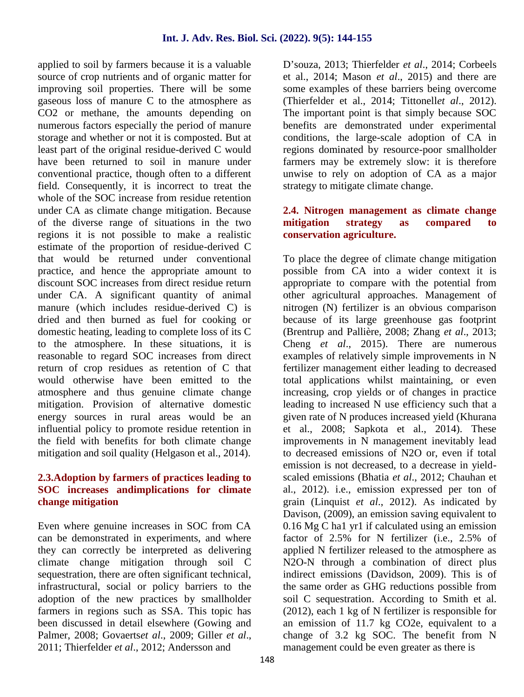applied to soil by farmers because it is a valuable source of crop nutrients and of organic matter for improving soil properties. There will be some gaseous loss of manure C to the atmosphere as CO2 or methane, the amounts depending on numerous factors especially the period of manure storage and whether or not it is composted. But at least part of the original residue-derived C would have been returned to soil in manure under conventional practice, though often to a different field. Consequently, it is incorrect to treat the whole of the SOC increase from residue retention under CA as climate change mitigation. Because of the diverse range of situations in the two regions it is not possible to make a realistic estimate of the proportion of residue-derived C that would be returned under conventional practice, and hence the appropriate amount to discount SOC increases from direct residue return under CA. A significant quantity of animal manure (which includes residue-derived C) is dried and then burned as fuel for cooking or domestic heating, leading to complete loss of its C to the atmosphere. In these situations, it is reasonable to regard SOC increases from direct return of crop residues as retention of C that would otherwise have been emitted to the atmosphere and thus genuine climate change mitigation. Provision of alternative domestic energy sources in rural areas would be an influential policy to promote residue retention in the field with benefits for both climate change mitigation and soil quality (Helgason et al., 2014).

### **2.3.Adoption by farmers of practices leading to SOC increases andimplications for climate change mitigation**

Even where genuine increases in SOC from CA can be demonstrated in experiments, and where they can correctly be interpreted as delivering climate change mitigation through soil C sequestration, there are often significant technical, infrastructural, social or policy barriers to the adoption of the new practices by smallholder farmers in regions such as SSA. This topic has been discussed in detail elsewhere (Gowing and Palmer, 2008; Govaerts*et al*., 2009; Giller *et al*., 2011; Thierfelder *et al*., 2012; Andersson and

D'souza, 2013; Thierfelder *et al*., 2014; Corbeels et al., 2014; Mason *et al*., 2015) and there are some examples of these barriers being overcome (Thierfelder et al., 2014; Tittonell*et al*., 2012). The important point is that simply because SOC benefits are demonstrated under experimental conditions, the large-scale adoption of CA in regions dominated by resource-poor smallholder farmers may be extremely slow: it is therefore unwise to rely on adoption of CA as a major strategy to mitigate climate change.

#### **2.4. Nitrogen management as climate change** strategy as compared to **conservation agriculture.**

To place the degree of climate change mitigation possible from CA into a wider context it is appropriate to compare with the potential from other agricultural approaches. Management of nitrogen (N) fertilizer is an obvious comparison because of its large greenhouse gas footprint (Brentrup and Pallière, 2008; Zhang *et al*., 2013; Cheng *et al*., 2015). There are numerous examples of relatively simple improvements in N fertilizer management either leading to decreased total applications whilst maintaining, or even increasing, crop yields or of changes in practice leading to increased N use efficiency such that a given rate of N produces increased yield (Khurana et al., 2008; Sapkota et al., 2014). These improvements in N management inevitably lead to decreased emissions of N2O or, even if total emission is not decreased, to a decrease in yield scaled emissions (Bhatia *et al*., 2012; Chauhan et al., 2012). i.e., emission expressed per ton of grain (Linquist *et al*., 2012). As indicated by Davison, (2009), an emission saving equivalent to 0.16 Mg C ha1 yr1 if calculated using an emission factor of 2.5% for N fertilizer (i.e., 2.5% of applied N fertilizer released to the atmosphere as N2O-N through a combination of direct plus indirect emissions (Davidson, 2009). This is of the same order as GHG reductions possible from soil C sequestration. According to Smith et al. (2012), each 1 kg of N fertilizer is responsible for an emission of 11.7 kg CO2e, equivalent to a change of 3.2 kg SOC. The benefit from N management could be even greater as there is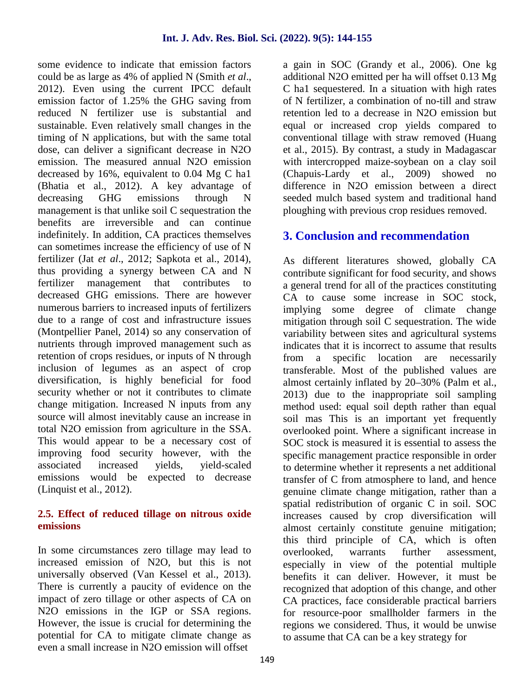some evidence to indicate that emission factors could be as large as 4% of applied N (Smith *et al*., 2012). Even using the current IPCC default emission factor of 1.25% the GHG saving from reduced N fertilizer use is substantial and sustainable. Even relatively small changes in the timing of N applications, but with the same total dose, can deliver a significant decrease in N2O emission. The measured annual N2O emission decreased by 16%, equivalent to 0.04 Mg C ha1 (Bhatia et al., 2012). A key advantage of decreasing GHG emissions through N management is that unlike soil C sequestration the benefits are irreversible and can continue indefinitely. In addition, CA practices themselves can sometimes increase the efficiency of use of N fertilizer (Jat *et al*., 2012; Sapkota et al., 2014), thus providing a synergy between CA and N fertilizer management that contributes to decreased GHG emissions. There are however numerous barriers to increased inputs of fertilizers due to a range of cost and infrastructure issues (Montpellier Panel, 2014) so any conservation of nutrients through improved management such as retention of crops residues, or inputs of N through from inclusion of legumes as an aspect of crop diversification, is highly beneficial for food security whether or not it contributes to climate change mitigation. Increased N inputs from any source will almost inevitably cause an increase in total N2O emission from agriculture in the SSA. This would appear to be a necessary cost of improving food security however, with the associated increased yields, yield-scaled emissions would be expected to decrease (Linquist et al., 2012).

#### **2.5. Effect of reduced tillage on nitrous oxide emissions**

In some circumstances zero tillage may lead to increased emission of N2O, but this is not universally observed (Van Kessel et al., 2013). There is currently a paucity of evidence on the impact of zero tillage or other aspects of CA on N<sub>2</sub>O emissions in the IGP or SSA regions. However, the issue is crucial for determining the potential for CA to mitigate climate change as even a small increase in N2O emission will offset

a gain in SOC (Grandy et al., 2006). One kg additional N2O emitted per ha will offset 0.13 Mg C ha1 sequestered. In a situation with high rates of N fertilizer, a combination of no-till and straw retention led to a decrease in N2O emission but equal or increased crop yields compared to conventional tillage with straw removed (Huang et al., 2015). By contrast, a study in Madagascar with intercropped maize-soybean on a clay soil (Chapuis-Lardy et al., 2009) showed no difference in N2O emission between a direct seeded mulch based system and traditional hand ploughing with previous crop residues removed.

## **3. Conclusion and recommendation**

As different literatures showed, globally CA contribute significant for food security, and shows a general trend for all of the practices constituting CA to cause some increase in SOC stock, implying some degree of climate change mitigation through soil C sequestration. The wide variability between sites and agricultural systems indicates that it is incorrect to assume that results a specific location are necessarily transferable. Most of the published values are almost certainly inflated by 20–30% (Palm et al., 2013) due to the inappropriate soil sampling method used: equal soil depth rather than equal soil mas This is an important yet frequently overlooked point. Where a significant increase in SOC stock is measured it is essential to assess the specific management practice responsible in order to determine whether it represents a net additional transfer of C from atmosphere to land, and hence genuine climate change mitigation, rather than a spatial redistribution of organic C in soil. SOC increases caused by crop diversification will almost certainly constitute genuine mitigation; this third principle of CA, which is often overlooked, warrants further assessment, especially in view of the potential multiple benefits it can deliver. However, it must be recognized that adoption of this change, and other CA practices, face considerable practical barriers for resource-poor smallholder farmers in the regions we considered. Thus, it would be unwise to assume that CA can be a key strategy for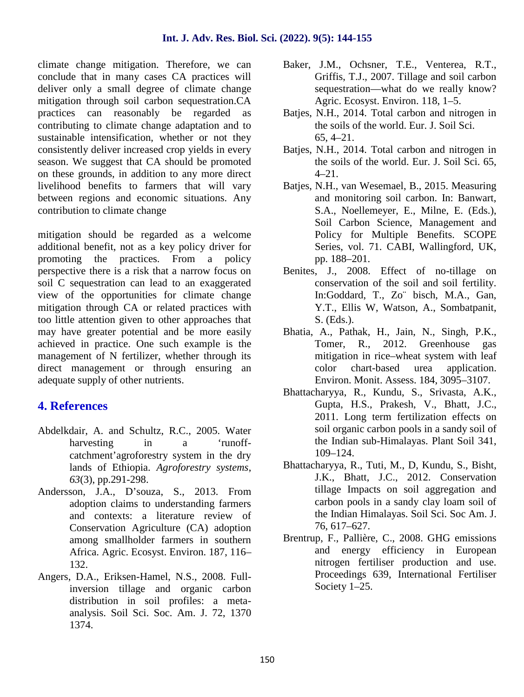climate change mitigation. Therefore, we can conclude that in many cases CA practices will deliver only a small degree of climate change mitigation through soil carbon sequestration.CA practices can reasonably be regarded as contributing to climate change adaptation and to sustainable intensification, whether or not they consistently deliver increased crop yields in every season. We suggest that CA should be promoted on these grounds, in addition to any more direct livelihood benefits to farmers that will vary between regions and economic situations. Any contribution to climate change

mitigation should be regarded as a welcome additional benefit, not as a key policy driver for promoting the practices. From a policy perspective there is a risk that a narrow focus on soil C sequestration can lead to an exaggerated view of the opportunities for climate change mitigation through CA or related practices with too little attention given to other approaches that may have greater potential and be more easily achieved in practice. One such example is the management of N fertilizer, whether through its direct management or through ensuring an adequate supply of other nutrients.

## **4. References**

- Abdelkdair, A. and Schultz, R.C., 2005. Water harvesting in a 'runoffcatchment'agroforestry system in the dry lands of Ethiopia. *Agroforestry systems*, *63*(3), pp.291-298.
- Andersson, J.A., D'souza, S., 2013. From adoption claims to understanding farmers and contexts: a literature review of Conservation Agriculture (CA) adoption among smallholder farmers in southern Africa. Agric. Ecosyst. Environ. 187, 116– 132.
- Angers, D.A., Eriksen-Hamel, N.S., 2008. Fullinversion tillage and organic carbon distribution in soil profiles: a meta analysis. Soil Sci. Soc. Am. J. 72, 1370 1374.
- Baker, J.M., Ochsner, T.E., Venterea, R.T., Griffis, T.J., 2007. Tillage and soil carbon sequestration—what do we really know? Agric. Ecosyst. Environ. 118, 1–5.
- Batjes, N.H., 2014. Total carbon and nitrogen in the soils of the world. Eur. J. Soil Sci. 65, 4–21.
- Batjes, N.H., 2014. Total carbon and nitrogen in the soils of the world. Eur. J. Soil Sci. 65, 4–21.
- Batjes, N.H., van Wesemael, B., 2015. Measuring and monitoring soil carbon. In: Banwart, S.A., Noellemeyer, E., Milne, E. (Eds.), Soil Carbon Science, Management and Policy for Multiple Benefits. SCOPE Series, vol. 71. CABI, Wallingford, UK, pp. 188–201.
- Benites, J., 2008. Effect of no-tillage on conservation of the soil and soil fertility. In:Goddard, T., Zo¨ bisch, M.A., Gan, Y.T., Ellis W, Watson, A., Sombatpanit, S. (Eds.).
- Bhatia, A., Pathak, H., Jain, N., Singh, P.K., Tomer, R., 2012. Greenhouse gas mitigation in rice–wheat system with leaf color chart-based urea application. Environ. Monit. Assess. 184, 3095–3107.
- Bhattacharyya, R., Kundu, S., Srivasta, A.K., Gupta, H.S., Prakesh, V., Bhatt, J.C., 2011. Long term fertilization effects on soil organic carbon pools in a sandy soil of the Indian sub-Himalayas. Plant Soil 341, 109–124.
- Bhattacharyya, R., Tuti, M., D, Kundu, S., Bisht, J.K., Bhatt, J.C., 2012. Conservation tillage Impacts on soil aggregation and carbon pools in a sandy clay loam soil of the Indian Himalayas. Soil Sci. Soc Am. J. 76, 617–627.
- Brentrup, F., Pallière, C., 2008. GHG emissions and energy efficiency in European nitrogen fertiliser production and use. Proceedings 639, International Fertiliser Society 1–25.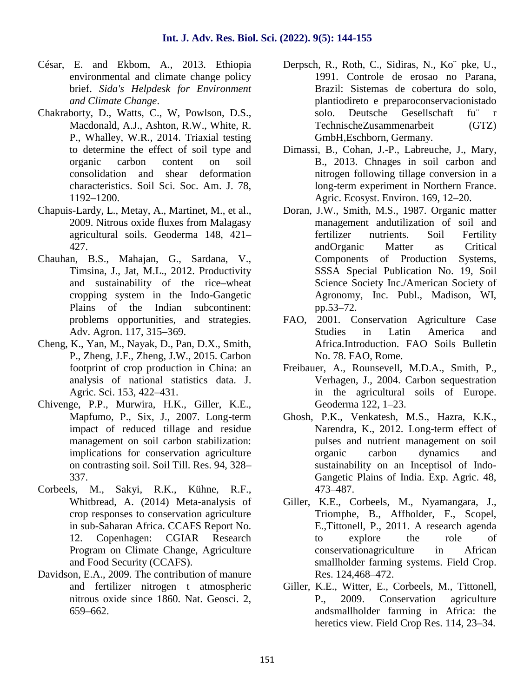- César, E. and Ekbom, A., 2013. Ethiopia environmental and climate change policy brief. *Sida's Helpdesk for Environment and Climate Change*.
- Chakraborty, D., Watts, C., W, Powlson, D.S., Macdonald, A.J., Ashton, R.W., White, R. P., Whalley, W.R., 2014. Triaxial testing to determine the effect of soil type and organic carbon content on soil consolidation and shear deformation characteristics. Soil Sci. Soc. Am. J. 78, 1192–1200.
- Chapuis-Lardy, L., Metay, A., Martinet, M., et al., 2009. Nitrous oxide fluxes from Malagasy agricultural soils. Geoderma 148, 421– 427.
- Chauhan, B.S., Mahajan, G., Sardana, V., Timsina, J., Jat, M.L., 2012. Productivity and sustainability of the rice–wheat cropping system in the Indo-Gangetic Plains of the Indian subcontinent: problems opportunities, and strategies. Adv. Agron. 117, 315–369.
- Cheng, K., Yan, M., Nayak, D., Pan, D.X., Smith, P., Zheng, J.F., Zheng, J.W., 2015. Carbon footprint of crop production in China: an analysis of national statistics data. J. Agric. Sci. 153, 422–431.
- Chivenge, P.P., Murwira, H.K., Giller, K.E., Mapfumo, P., Six, J., 2007. Long-term impact of reduced tillage and residue management on soil carbon stabilization: implications for conservation agriculture on contrasting soil. Soil Till. Res. 94, 328– 337.
- Corbeels, M., Sakyi, R.K., Kühne, R.F., Whitbread, A. (2014) Meta-analysis of crop responses to conservation agriculture in sub-Saharan Africa. CCAFS Report No. 12. Copenhagen: CGIAR Research Program on Climate Change, Agriculture and Food Security (CCAFS).
- Davidson, E.A., 2009. The contribution of manure and fertilizer nitrogen t atmospheric nitrous oxide since 1860. Nat. Geosci. 2, 659–662.
- Derpsch, R., Roth, C., Sidiras, N., Ko¨ pke, U., 1991. Controle de erosao no Parana, Brazil: Sistemas de cobertura do solo, plantiodireto e preparoconservacionistado solo. Deutsche Gesellschaft fu¨ r TechnischeZusammenarbeit (GTZ) GmbH,Eschborn, Germany.
- Dimassi, B., Cohan, J.-P., Labreuche, J., Mary, B., 2013. Chnages in soil carbon and nitrogen following tillage conversion in a long-term experiment in Northern France. Agric. Ecosyst. Environ. 169, 12–20.
- Doran, J.W., Smith, M.S., 1987. Organic matter management andutilization of soil and fertilizer nutrients. Soil Fertility andOrganic Matter as Critical Components of Production Systems, SSSA Special Publication No. 19, Soil Science Society Inc./American Society of Agronomy, Inc. Publ., Madison, WI, pp.53–72.
- FAO, 2001. Conservation Agriculture Case Studies in Latin America and Africa.Introduction. FAO Soils Bulletin No. 78. FAO, Rome.
- Freibauer, A., Rounsevell, M.D.A., Smith, P., Verhagen, J., 2004. Carbon sequestration in the agricultural soils of Europe. Geoderma 122, 1–23.
- Ghosh, P.K., Venkatesh, M.S., Hazra, K.K., Narendra, K., 2012. Long-term effect of pulses and nutrient management on soil organic carbon dynamics and sustainability on an Inceptisol of Indo- Gangetic Plains of India. Exp. Agric. 48, 473–487.
- Giller, K.E., Corbeels, M., Nyamangara, J., Triomphe, B., Affholder, F., Scopel, E.,Tittonell, P., 2011. A research agenda to explore the role of conservationagriculture in African smallholder farming systems. Field Crop. Res. 124,468–472.
- Giller, K.E., Witter, E., Corbeels, M., Tittonell, P., 2009. Conservation agriculture andsmallholder farming in Africa: the heretics view. Field Crop Res. 114, 23–34.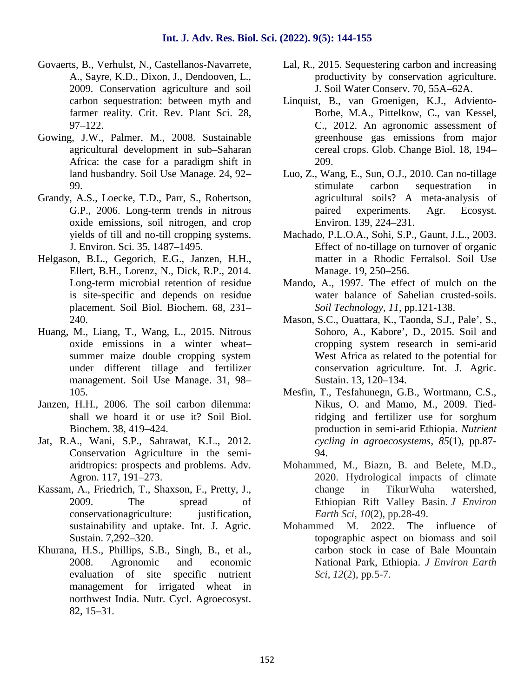- Govaerts, B., Verhulst, N., Castellanos-Navarrete, A., Sayre, K.D., Dixon, J., Dendooven, L., 2009. Conservation agriculture and soil carbon sequestration: between myth and farmer reality. Crit. Rev. Plant Sci. 28, 97–122.
- Gowing, J.W., Palmer, M., 2008. Sustainable agricultural development in sub–Saharan Africa: the case for a paradigm shift in land husbandry. Soil Use Manage. 24, 92– 99.
- Grandy, A.S., Loecke, T.D., Parr, S., Robertson, G.P., 2006. Long-term trends in nitrous oxide emissions, soil nitrogen, and crop yields of till and no-till cropping systems. J. Environ. Sci. 35, 1487–1495.
- Helgason, B.L., Gegorich, E.G., Janzen, H.H., Ellert, B.H., Lorenz, N., Dick, R.P., 2014. Long-term microbial retention of residue is site-specific and depends on residue placement. Soil Biol. Biochem. 68, 231– 240.
- Huang, M., Liang, T., Wang, L., 2015. Nitrous oxide emissions in a winter wheat– summer maize double cropping system under different tillage and fertilizer management. Soil Use Manage. 31, 98– 105.
- Janzen, H.H., 2006. The soil carbon dilemma: shall we hoard it or use it? Soil Biol. Biochem. 38, 419–424.
- Jat, R.A., Wani, S.P., Sahrawat, K.L., 2012. Conservation Agriculture in the semi aridtropics: prospects and problems. Adv. Agron. 117, 191–273.
- Kassam, A., Friedrich, T., Shaxson, F., Pretty, J., 2009. The spread of conservationagriculture: iustification, sustainability and uptake. Int. J. Agric. Sustain. 7,292–320.
- Khurana, H.S., Phillips, S.B., Singh, B., et al., 2008. Agronomic and economic evaluation of site specific nutrient management for irrigated wheat in northwest India. Nutr. Cycl. Agroecosyst. 82, 15–31.
- Lal, R., 2015. Sequestering carbon and increasing productivity by conservation agriculture. J. Soil Water Conserv. 70, 55A–62A.
- Linquist, B., van Groenigen, K.J., Adviento- Borbe, M.A., Pittelkow, C., van Kessel, C., 2012. An agronomic assessment of greenhouse gas emissions from major cereal crops. Glob. Change Biol. 18, 194– 209.
- Luo, Z., Wang, E., Sun, O.J., 2010. Can no-tillage stimulate carbon sequestration in agricultural soils? A meta-analysis of paired experiments. Agr. Ecosyst. Environ. 139, 224–231.
- Machado, P.L.O.A., Sohi, S.P., Gaunt, J.L., 2003. Effect of no-tillage on turnover of organic matter in a Rhodic Ferralsol. Soil Use Manage. 19, 250–256.
- Mando, A., 1997. The effect of mulch on the water balance of Sahelian crusted-soils. *Soil Technology*, *11*, pp.121-138.
- Mason, S.C., Ouattara, K., Taonda, S.J., Pale', S., Sohoro, A., Kabore', D., 2015. Soil and cropping system research in semi-arid West Africa as related to the potential for conservation agriculture. Int. J. Agric. Sustain. 13, 120–134.
- Mesfin, T., Tesfahunegn, G.B., Wortmann, C.S., Nikus, O. and Mamo, M., 2009. Tiedridging and fertilizer use for sorghum production in semi-arid Ethiopia. *Nutrient cycling in agroecosystems*, *85*(1), pp.87- 94.
- Mohammed, M., Biazn, B. and Belete, M.D., 2020. Hydrological impacts of climate change in TikurWuha watershed, Ethiopian Rift Valley Basin. *J Environ Earth Sci*, *10*(2), pp.28-49.
- Mohammed M. 2022. The influence of topographic aspect on biomass and soil carbon stock in case of Bale Mountain National Park, Ethiopia. *J Environ Earth Sci*, *12*(2), pp.5-7.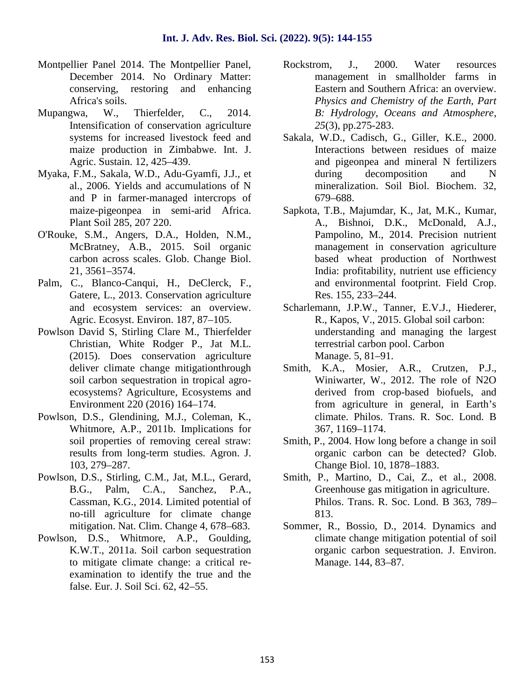- Montpellier Panel 2014. The Montpellier Panel, December 2014. No Ordinary Matter: conserving, restoring and enhancing Africa's soils.
- Mupangwa, W., Thierfelder, C., 2014. Intensification of conservation agriculture systems for increased livestock feed and maize production in Zimbabwe. Int. J. Agric. Sustain. 12, 425–439.
- Myaka, F.M., Sakala, W.D., Adu-Gyamfi, J.J., et al., 2006. Yields and accumulations of N and P in farmer-managed intercrops of maize-pigeonpea in semi-arid Africa. Plant Soil 285, 207 220.
- O'Rouke, S.M., Angers, D.A., Holden, N.M., McBratney, A.B., 2015. Soil organic carbon across scales. Glob. Change Biol. 21, 3561–3574.
- Palm, C., Blanco-Canqui, H., DeClerck, F., Gatere, L., 2013. Conservation agriculture and ecosystem services: an overview. Agric. Ecosyst. Environ. 187, 87–105.
- Powlson David S, Stirling Clare M., Thierfelder Christian, White Rodger P., Jat M.L. (2015). Does conservation agriculture deliver climate change mitigationthrough soil carbon sequestration in tropical agro ecosystems? Agriculture, Ecosystems and Environment 220 (2016) 164–174.
- Powlson, D.S., Glendining, M.J., Coleman, K., Whitmore, A.P., 2011b. Implications for soil properties of removing cereal straw: results from long-term studies. Agron. J. 103, 279–287.
- Powlson, D.S., Stirling, C.M., Jat, M.L., Gerard, B.G., Palm, C.A., Sanchez, P.A., Cassman, K.G., 2014. Limited potential of no-till agriculture for climate change mitigation. Nat. Clim. Change 4, 678–683.
- Powlson, D.S., Whitmore, A.P., Goulding, K.W.T., 2011a. Soil carbon sequestration to mitigate climate change: a critical re examination to identify the true and the false. Eur. J. Soil Sci. 62, 42–55.
- Rockstrom, J., 2000. Water resources management in smallholder farms in Eastern and Southern Africa: an overview. *Physics and Chemistry of the Earth, Part B: Hydrology, Oceans and Atmosphere*, *25*(3), pp.275-283.
- Sakala, W.D., Cadisch, G., Giller, K.E., 2000. Interactions between residues of maize and pigeonpea and mineral N fertilizers during decomposition and N mineralization. Soil Biol. Biochem. 32, 679–688.
- Sapkota, T.B., Majumdar, K., Jat, M.K., Kumar, A., Bishnoi, D.K., McDonald, A.J., Pampolino, M., 2014. Precision nutrient management in conservation agriculture based wheat production of Northwest India: profitability, nutrient use efficiency and environmental footprint. Field Crop. Res. 155, 233–244.
- Scharlemann, J.P.W., Tanner, E.V.J., Hiederer, R., Kapos, V., 2015. Global soil carbon: understanding and managing the largest terrestrial carbon pool. Carbon Manage. 5, 81–91.
- Smith, K.A., Mosier, A.R., Crutzen, P.J., Winiwarter, W., 2012. The role of N2O derived from crop-based biofuels, and from agriculture in general, in Earth's climate. Philos. Trans. R. Soc. Lond. B 367, 1169–1174.
- Smith, P., 2004. How long before a change in soil organic carbon can be detected? Glob. Change Biol. 10, 1878–1883.
- Smith, P., Martino, D., Cai, Z., et al., 2008. Greenhouse gas mitigation in agriculture. Philos. Trans. R. Soc. Lond. B 363, 789– 813.
- Sommer, R., Bossio, D., 2014. Dynamics and climate change mitigation potential of soil organic carbon sequestration. J. Environ. Manage. 144, 83–87.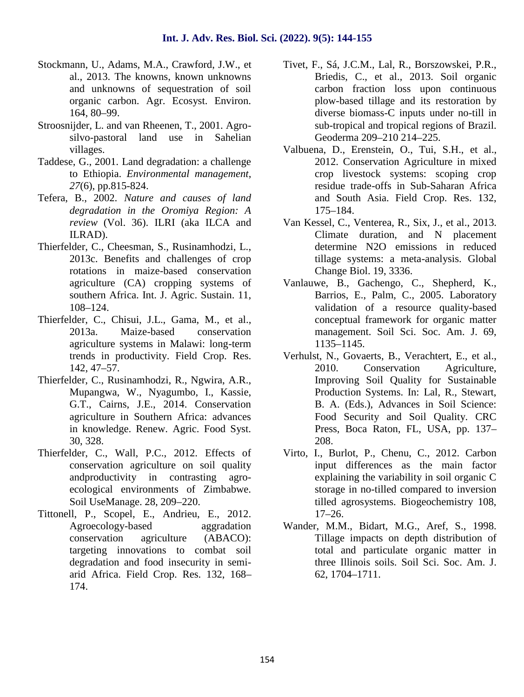- Stockmann, U., Adams, M.A., Crawford, J.W., et al., 2013. The knowns, known unknowns and unknowns of sequestration of soil organic carbon. Agr. Ecosyst. Environ. 164, 80–99.
- Stroosnijder, L. and van Rheenen, T., 2001. Agro silvo-pastoral land use in Sahelian villages.
- Taddese, G., 2001. Land degradation: a challenge to Ethiopia. *Environmental management*, *27*(6), pp.815-824.
- Tefera, B., 2002. *Nature and causes of land degradation in the Oromiya Region: A review* (Vol. 36). ILRI (aka ILCA and ILRAD).
- Thierfelder, C., Cheesman, S., Rusinamhodzi, L., 2013c. Benefits and challenges of crop rotations in maize-based conservation agriculture (CA) cropping systems of southern Africa. Int. J. Agric. Sustain. 11, 108–124.
- Thierfelder, C., Chisui, J.L., Gama, M., et al., 2013a. Maize-based conservation agriculture systems in Malawi: long-term trends in productivity. Field Crop. Res. 142, 47–57.
- Thierfelder, C., Rusinamhodzi, R., Ngwira, A.R., Mupangwa, W., Nyagumbo, I., Kassie, G.T., Cairns, J.E., 2014. Conservation agriculture in Southern Africa: advances in knowledge. Renew. Agric. Food Syst. 30, 328.
- Thierfelder, C., Wall, P.C., 2012. Effects of conservation agriculture on soil quality andproductivity in contrasting agro ecological environments of Zimbabwe. Soil UseManage. 28, 209–220.
- Tittonell, P., Scopel, E., Andrieu, E., 2012. Agroecology-based aggradation conservation agriculture (ABACO): targeting innovations to combat soil degradation and food insecurity in semi arid Africa. Field Crop. Res. 132, 168– 174.
- Tivet, F., Sá, J.C.M., Lal, R., Borszowskei, P.R., Briedis, C., et al., 2013. Soil organic carbon fraction loss upon continuous plow-based tillage and its restoration by diverse biomass-C inputs under no-till in sub-tropical and tropical regions of Brazil. Geoderma 209–210 214–225.
- Valbuena, D., Erenstein, O., Tui, S.H., et al., 2012. Conservation Agriculture in mixed crop livestock systems: scoping crop residue trade-offs in Sub-Saharan Africa and South Asia. Field Crop. Res. 132, 175–184.
- Van Kessel, C., Venterea, R., Six, J., et al., 2013. Climate duration, and N placement determine N2O emissions in reduced tillage systems: a meta-analysis. Global Change Biol. 19, 3336.
- Vanlauwe, B., Gachengo, C., Shepherd, K., Barrios, E., Palm, C., 2005. Laboratory validation of a resource quality-based conceptual framework for organic matter management. Soil Sci. Soc. Am. J. 69, 1135–1145.
- Verhulst, N., Govaerts, B., Verachtert, E., et al., 2010. Conservation Agriculture, Improving Soil Quality for Sustainable Production Systems. In: Lal, R., Stewart, B. A. (Eds.), Advances in Soil Science: Food Security and Soil Quality. CRC Press, Boca Raton, FL, USA, pp. 137– 208.
- Virto, I., Burlot, P., Chenu, C., 2012. Carbon input differences as the main factor explaining the variability in soil organic C storage in no-tilled compared to inversion tilled agrosystems. Biogeochemistry 108, 17–26.
- Wander, M.M., Bidart, M.G., Aref, S., 1998. Tillage impacts on depth distribution of total and particulate organic matter in three Illinois soils. Soil Sci. Soc. Am. J. 62, 1704–1711.